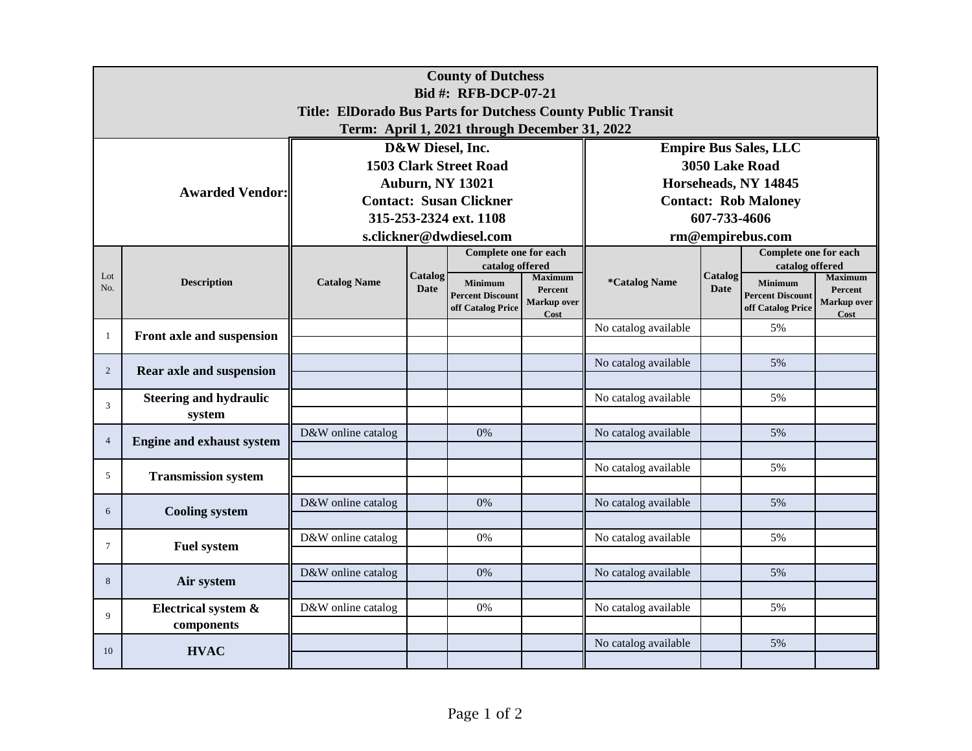| <b>County of Dutchess</b>                                                            |                                         |                                                   |                              |                                                                |                                                  |                             |                        |                                                                |                                                         |  |  |  |
|--------------------------------------------------------------------------------------|-----------------------------------------|---------------------------------------------------|------------------------------|----------------------------------------------------------------|--------------------------------------------------|-----------------------------|------------------------|----------------------------------------------------------------|---------------------------------------------------------|--|--|--|
| Bid #: RFB-DCP-07-21<br>Title: ElDorado Bus Parts for Dutchess County Public Transit |                                         |                                                   |                              |                                                                |                                                  |                             |                        |                                                                |                                                         |  |  |  |
| Term: April 1, 2021 through December 31, 2022                                        |                                         |                                                   |                              |                                                                |                                                  |                             |                        |                                                                |                                                         |  |  |  |
|                                                                                      |                                         |                                                   | <b>Empire Bus Sales, LLC</b> |                                                                |                                                  |                             |                        |                                                                |                                                         |  |  |  |
| <b>Awarded Vendor:</b>                                                               |                                         | D&W Diesel, Inc.<br><b>1503 Clark Street Road</b> |                              |                                                                |                                                  | 3050 Lake Road              |                        |                                                                |                                                         |  |  |  |
|                                                                                      |                                         | <b>Auburn, NY 13021</b>                           |                              |                                                                |                                                  | Horseheads, NY 14845        |                        |                                                                |                                                         |  |  |  |
|                                                                                      |                                         | <b>Contact: Susan Clickner</b>                    |                              |                                                                |                                                  | <b>Contact: Rob Maloney</b> |                        |                                                                |                                                         |  |  |  |
|                                                                                      |                                         | 315-253-2324 ext. 1108                            |                              |                                                                |                                                  | 607-733-4606                |                        |                                                                |                                                         |  |  |  |
|                                                                                      |                                         | s.clickner@dwdiesel.com                           |                              |                                                                |                                                  | rm@empirebus.com            |                        |                                                                |                                                         |  |  |  |
|                                                                                      | <b>Description</b>                      |                                                   | Catalog<br><b>Date</b>       | <b>Complete one for each</b><br>catalog offered                |                                                  |                             |                        | Complete one for each<br>catalog offered                       |                                                         |  |  |  |
| Lot<br>No.                                                                           |                                         | <b>Catalog Name</b>                               |                              | <b>Minimum</b><br><b>Percent Discount</b><br>off Catalog Price | <b>Maximum</b><br>Percent<br>Markup over<br>Cost | *Catalog Name               | Catalog<br><b>Date</b> | <b>Minimum</b><br><b>Percent Discount</b><br>off Catalog Price | <b>Maximum</b><br>Percent<br><b>Markup over</b><br>Cost |  |  |  |
| 1                                                                                    | Front axle and suspension               |                                                   |                              |                                                                |                                                  | No catalog available        |                        | 5%                                                             |                                                         |  |  |  |
|                                                                                      |                                         |                                                   |                              |                                                                |                                                  |                             |                        |                                                                |                                                         |  |  |  |
| $\overline{2}$                                                                       | Rear axle and suspension                |                                                   |                              |                                                                |                                                  | No catalog available        |                        | 5%                                                             |                                                         |  |  |  |
|                                                                                      |                                         |                                                   |                              |                                                                |                                                  |                             |                        |                                                                |                                                         |  |  |  |
| 3                                                                                    | <b>Steering and hydraulic</b><br>system |                                                   |                              |                                                                |                                                  | No catalog available        |                        | 5%                                                             |                                                         |  |  |  |
|                                                                                      |                                         | D&W online catalog                                |                              | 0%                                                             |                                                  | No catalog available        |                        | 5%                                                             |                                                         |  |  |  |
| $\overline{4}$                                                                       | <b>Engine and exhaust system</b>        |                                                   |                              |                                                                |                                                  |                             |                        |                                                                |                                                         |  |  |  |
| 5                                                                                    | <b>Transmission system</b>              |                                                   |                              |                                                                |                                                  | No catalog available        |                        | 5%                                                             |                                                         |  |  |  |
|                                                                                      |                                         |                                                   |                              |                                                                |                                                  |                             |                        |                                                                |                                                         |  |  |  |
| 6                                                                                    | <b>Cooling system</b>                   | D&W online catalog                                |                              | 0%                                                             |                                                  | No catalog available        |                        | 5%                                                             |                                                         |  |  |  |
|                                                                                      | <b>Fuel system</b>                      | D&W online catalog                                |                              | 0%                                                             |                                                  | No catalog available        |                        | 5%                                                             |                                                         |  |  |  |
| $\tau$                                                                               |                                         |                                                   |                              |                                                                |                                                  |                             |                        |                                                                |                                                         |  |  |  |
|                                                                                      | Air system                              | D&W online catalog                                |                              | 0%                                                             |                                                  | No catalog available        |                        | 5%                                                             |                                                         |  |  |  |
| 8                                                                                    |                                         |                                                   |                              |                                                                |                                                  |                             |                        |                                                                |                                                         |  |  |  |
| 9                                                                                    | Electrical system &                     | D&W online catalog                                |                              | 0%                                                             |                                                  | No catalog available        |                        | 5%                                                             |                                                         |  |  |  |
|                                                                                      | components                              |                                                   |                              |                                                                |                                                  |                             |                        |                                                                |                                                         |  |  |  |
| 10                                                                                   | <b>HVAC</b>                             |                                                   |                              |                                                                |                                                  | No catalog available        |                        | 5%                                                             |                                                         |  |  |  |
|                                                                                      |                                         |                                                   |                              |                                                                |                                                  |                             |                        |                                                                |                                                         |  |  |  |